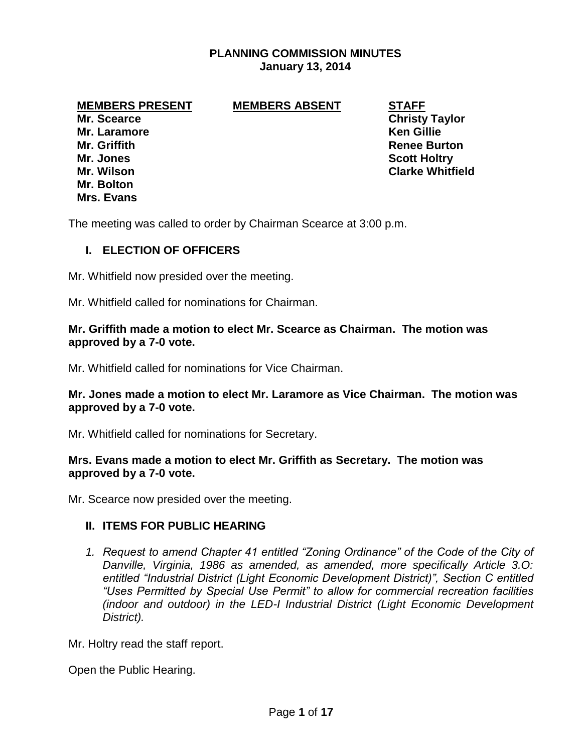# **PLANNING COMMISSION MINUTES January 13, 2014**

## **MEMBERS PRESENT MEMBERS ABSENT STAFF**

**Mr. Scearce Christy Taylor Mr. Laramore Ken Gillie Mr. Griffith Renee Burton Mr. Jones Scott Holtry Mr. Bolton Mrs. Evans**

**Mr. Wilson Clarke Whitfield**

The meeting was called to order by Chairman Scearce at 3:00 p.m.

## **I. ELECTION OF OFFICERS**

Mr. Whitfield now presided over the meeting.

Mr. Whitfield called for nominations for Chairman.

### **Mr. Griffith made a motion to elect Mr. Scearce as Chairman. The motion was approved by a 7-0 vote.**

Mr. Whitfield called for nominations for Vice Chairman.

## **Mr. Jones made a motion to elect Mr. Laramore as Vice Chairman. The motion was approved by a 7-0 vote.**

Mr. Whitfield called for nominations for Secretary.

### **Mrs. Evans made a motion to elect Mr. Griffith as Secretary. The motion was approved by a 7-0 vote.**

Mr. Scearce now presided over the meeting.

### **II. ITEMS FOR PUBLIC HEARING**

*1. Request to amend Chapter 41 entitled "Zoning Ordinance" of the Code of the City of Danville, Virginia, 1986 as amended, as amended, more specifically Article 3.O: entitled "Industrial District (Light Economic Development District)", Section C entitled "Uses Permitted by Special Use Permit" to allow for commercial recreation facilities (indoor and outdoor) in the LED-I Industrial District (Light Economic Development District).*

Mr. Holtry read the staff report.

Open the Public Hearing.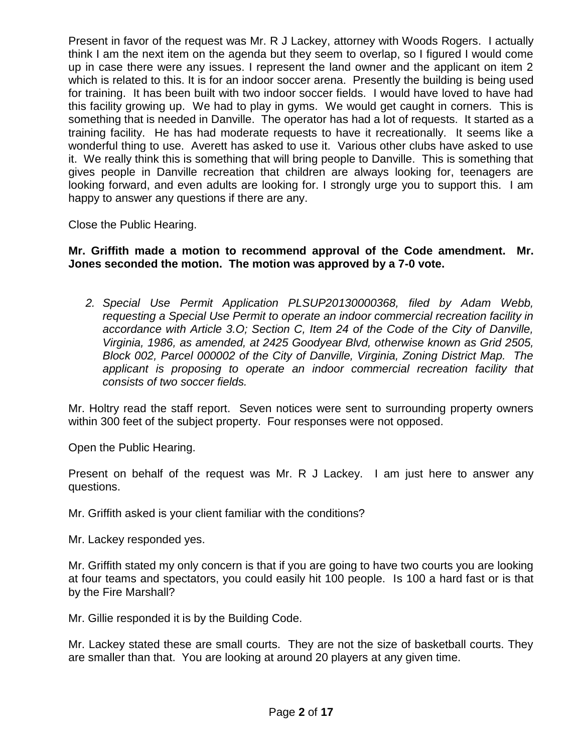Present in favor of the request was Mr. R J Lackey, attorney with Woods Rogers. I actually think I am the next item on the agenda but they seem to overlap, so I figured I would come up in case there were any issues. I represent the land owner and the applicant on item 2 which is related to this. It is for an indoor soccer arena. Presently the building is being used for training. It has been built with two indoor soccer fields. I would have loved to have had this facility growing up. We had to play in gyms. We would get caught in corners. This is something that is needed in Danville. The operator has had a lot of requests. It started as a training facility. He has had moderate requests to have it recreationally. It seems like a wonderful thing to use. Averett has asked to use it. Various other clubs have asked to use it. We really think this is something that will bring people to Danville. This is something that gives people in Danville recreation that children are always looking for, teenagers are looking forward, and even adults are looking for. I strongly urge you to support this. I am happy to answer any questions if there are any.

Close the Public Hearing.

# **Mr. Griffith made a motion to recommend approval of the Code amendment. Mr. Jones seconded the motion. The motion was approved by a 7-0 vote.**

*2. Special Use Permit Application PLSUP20130000368, filed by Adam Webb, requesting a Special Use Permit to operate an indoor commercial recreation facility in accordance with Article 3.O; Section C, Item 24 of the Code of the City of Danville, Virginia, 1986, as amended, at 2425 Goodyear Blvd, otherwise known as Grid 2505, Block 002, Parcel 000002 of the City of Danville, Virginia, Zoning District Map. The applicant is proposing to operate an indoor commercial recreation facility that consists of two soccer fields.* 

Mr. Holtry read the staff report. Seven notices were sent to surrounding property owners within 300 feet of the subject property. Four responses were not opposed.

Open the Public Hearing.

Present on behalf of the request was Mr. R J Lackey. I am just here to answer any questions.

Mr. Griffith asked is your client familiar with the conditions?

Mr. Lackey responded yes.

Mr. Griffith stated my only concern is that if you are going to have two courts you are looking at four teams and spectators, you could easily hit 100 people. Is 100 a hard fast or is that by the Fire Marshall?

Mr. Gillie responded it is by the Building Code.

Mr. Lackey stated these are small courts. They are not the size of basketball courts. They are smaller than that. You are looking at around 20 players at any given time.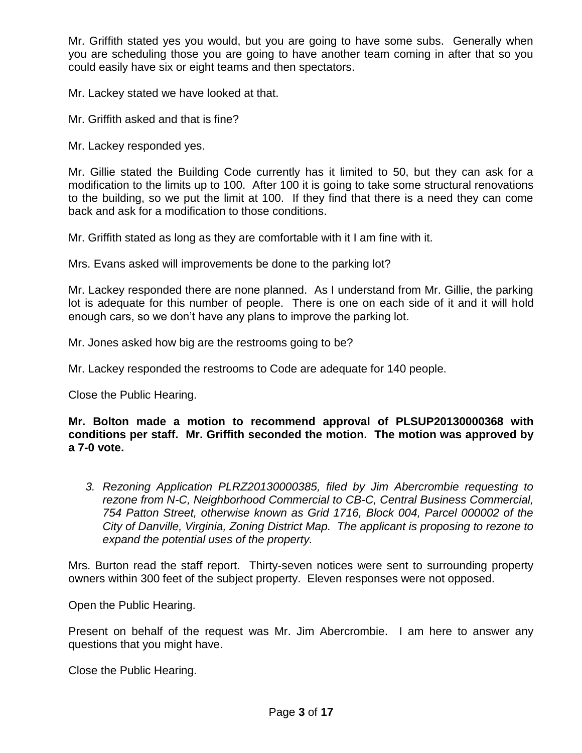Mr. Griffith stated yes you would, but you are going to have some subs. Generally when you are scheduling those you are going to have another team coming in after that so you could easily have six or eight teams and then spectators.

Mr. Lackey stated we have looked at that.

Mr. Griffith asked and that is fine?

Mr. Lackey responded yes.

Mr. Gillie stated the Building Code currently has it limited to 50, but they can ask for a modification to the limits up to 100. After 100 it is going to take some structural renovations to the building, so we put the limit at 100. If they find that there is a need they can come back and ask for a modification to those conditions.

Mr. Griffith stated as long as they are comfortable with it I am fine with it.

Mrs. Evans asked will improvements be done to the parking lot?

Mr. Lackey responded there are none planned. As I understand from Mr. Gillie, the parking lot is adequate for this number of people. There is one on each side of it and it will hold enough cars, so we don't have any plans to improve the parking lot.

Mr. Jones asked how big are the restrooms going to be?

Mr. Lackey responded the restrooms to Code are adequate for 140 people.

Close the Public Hearing.

**Mr. Bolton made a motion to recommend approval of PLSUP20130000368 with conditions per staff. Mr. Griffith seconded the motion. The motion was approved by a 7-0 vote.** 

*3. Rezoning Application PLRZ20130000385, filed by Jim Abercrombie requesting to rezone from N-C, Neighborhood Commercial to CB-C, Central Business Commercial, 754 Patton Street, otherwise known as Grid 1716, Block 004, Parcel 000002 of the City of Danville, Virginia, Zoning District Map. The applicant is proposing to rezone to expand the potential uses of the property.* 

Mrs. Burton read the staff report. Thirty-seven notices were sent to surrounding property owners within 300 feet of the subject property. Eleven responses were not opposed.

Open the Public Hearing.

Present on behalf of the request was Mr. Jim Abercrombie. I am here to answer any questions that you might have.

Close the Public Hearing.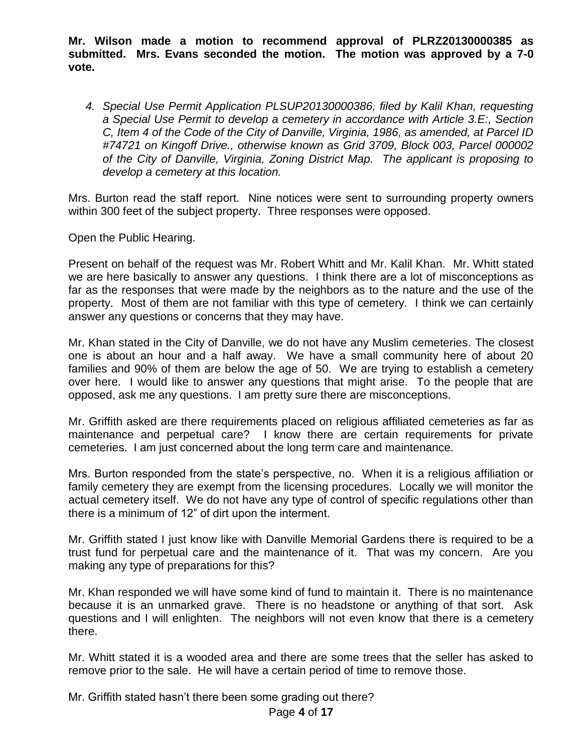**Mr. Wilson made a motion to recommend approval of PLRZ20130000385 as submitted. Mrs. Evans seconded the motion. The motion was approved by a 7-0 vote.** 

*4. Special Use Permit Application PLSUP20130000386, filed by Kalil Khan, requesting a Special Use Permit to develop a cemetery in accordance with Article 3.E:, Section C, Item 4 of the Code of the City of Danville, Virginia, 1986, as amended, at Parcel ID #74721 on Kingoff Drive., otherwise known as Grid 3709, Block 003, Parcel 000002 of the City of Danville, Virginia, Zoning District Map. The applicant is proposing to develop a cemetery at this location.*

Mrs. Burton read the staff report. Nine notices were sent to surrounding property owners within 300 feet of the subject property. Three responses were opposed.

Open the Public Hearing.

Present on behalf of the request was Mr. Robert Whitt and Mr. Kalil Khan. Mr. Whitt stated we are here basically to answer any questions. I think there are a lot of misconceptions as far as the responses that were made by the neighbors as to the nature and the use of the property. Most of them are not familiar with this type of cemetery. I think we can certainly answer any questions or concerns that they may have.

Mr. Khan stated in the City of Danville, we do not have any Muslim cemeteries. The closest one is about an hour and a half away. We have a small community here of about 20 families and 90% of them are below the age of 50. We are trying to establish a cemetery over here. I would like to answer any questions that might arise. To the people that are opposed, ask me any questions. I am pretty sure there are misconceptions.

Mr. Griffith asked are there requirements placed on religious affiliated cemeteries as far as maintenance and perpetual care? I know there are certain requirements for private cemeteries. I am just concerned about the long term care and maintenance.

Mrs. Burton responded from the state's perspective, no. When it is a religious affiliation or family cemetery they are exempt from the licensing procedures. Locally we will monitor the actual cemetery itself. We do not have any type of control of specific regulations other than there is a minimum of 12" of dirt upon the interment.

Mr. Griffith stated I just know like with Danville Memorial Gardens there is required to be a trust fund for perpetual care and the maintenance of it. That was my concern. Are you making any type of preparations for this?

Mr. Khan responded we will have some kind of fund to maintain it. There is no maintenance because it is an unmarked grave. There is no headstone or anything of that sort. Ask questions and I will enlighten. The neighbors will not even know that there is a cemetery there.

Mr. Whitt stated it is a wooded area and there are some trees that the seller has asked to remove prior to the sale. He will have a certain period of time to remove those.

Mr. Griffith stated hasn't there been some grading out there?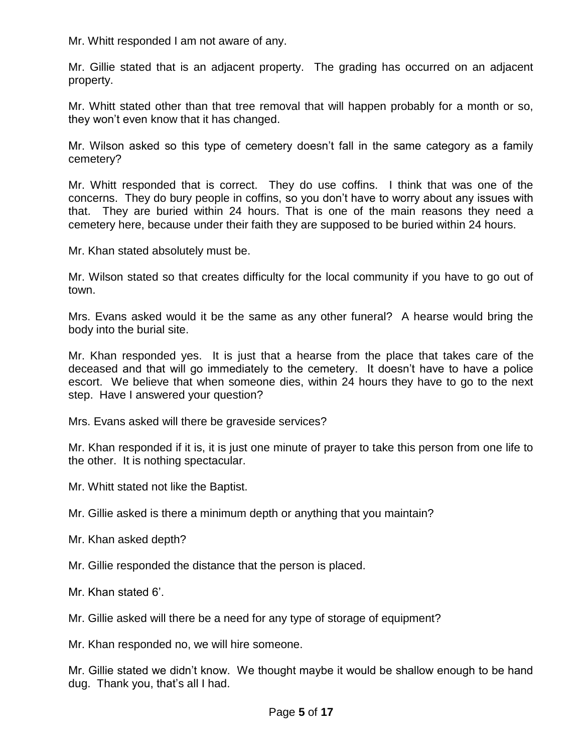Mr. Whitt responded I am not aware of any.

Mr. Gillie stated that is an adjacent property. The grading has occurred on an adjacent property.

Mr. Whitt stated other than that tree removal that will happen probably for a month or so, they won't even know that it has changed.

Mr. Wilson asked so this type of cemetery doesn't fall in the same category as a family cemetery?

Mr. Whitt responded that is correct. They do use coffins. I think that was one of the concerns. They do bury people in coffins, so you don't have to worry about any issues with that. They are buried within 24 hours. That is one of the main reasons they need a cemetery here, because under their faith they are supposed to be buried within 24 hours.

Mr. Khan stated absolutely must be.

Mr. Wilson stated so that creates difficulty for the local community if you have to go out of town.

Mrs. Evans asked would it be the same as any other funeral? A hearse would bring the body into the burial site.

Mr. Khan responded yes. It is just that a hearse from the place that takes care of the deceased and that will go immediately to the cemetery. It doesn't have to have a police escort. We believe that when someone dies, within 24 hours they have to go to the next step. Have I answered your question?

Mrs. Evans asked will there be graveside services?

Mr. Khan responded if it is, it is just one minute of prayer to take this person from one life to the other. It is nothing spectacular.

Mr. Whitt stated not like the Baptist.

Mr. Gillie asked is there a minimum depth or anything that you maintain?

Mr. Khan asked depth?

Mr. Gillie responded the distance that the person is placed.

Mr. Khan stated 6'.

Mr. Gillie asked will there be a need for any type of storage of equipment?

Mr. Khan responded no, we will hire someone.

Mr. Gillie stated we didn't know. We thought maybe it would be shallow enough to be hand dug. Thank you, that's all I had.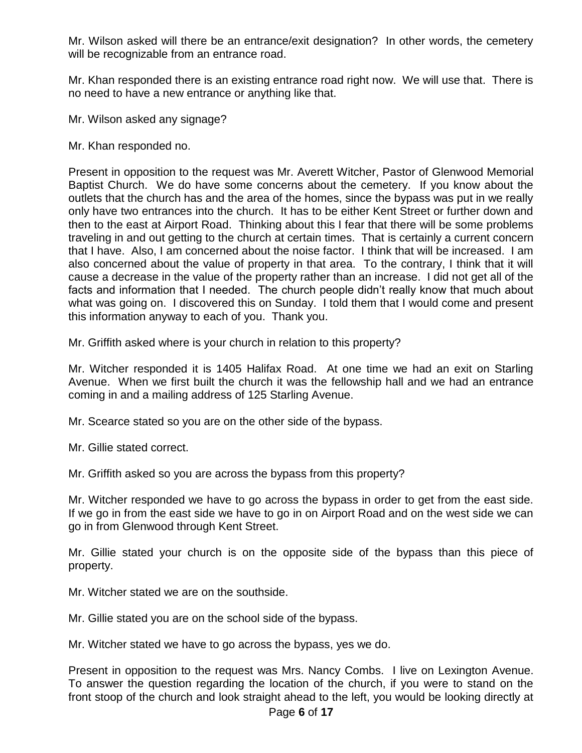Mr. Wilson asked will there be an entrance/exit designation? In other words, the cemetery will be recognizable from an entrance road.

Mr. Khan responded there is an existing entrance road right now. We will use that. There is no need to have a new entrance or anything like that.

Mr. Wilson asked any signage?

Mr. Khan responded no.

Present in opposition to the request was Mr. Averett Witcher, Pastor of Glenwood Memorial Baptist Church. We do have some concerns about the cemetery. If you know about the outlets that the church has and the area of the homes, since the bypass was put in we really only have two entrances into the church. It has to be either Kent Street or further down and then to the east at Airport Road. Thinking about this I fear that there will be some problems traveling in and out getting to the church at certain times. That is certainly a current concern that I have. Also, I am concerned about the noise factor. I think that will be increased. I am also concerned about the value of property in that area. To the contrary, I think that it will cause a decrease in the value of the property rather than an increase. I did not get all of the facts and information that I needed. The church people didn't really know that much about what was going on. I discovered this on Sunday. I told them that I would come and present this information anyway to each of you. Thank you.

Mr. Griffith asked where is your church in relation to this property?

Mr. Witcher responded it is 1405 Halifax Road. At one time we had an exit on Starling Avenue. When we first built the church it was the fellowship hall and we had an entrance coming in and a mailing address of 125 Starling Avenue.

Mr. Scearce stated so you are on the other side of the bypass.

Mr. Gillie stated correct.

Mr. Griffith asked so you are across the bypass from this property?

Mr. Witcher responded we have to go across the bypass in order to get from the east side. If we go in from the east side we have to go in on Airport Road and on the west side we can go in from Glenwood through Kent Street.

Mr. Gillie stated your church is on the opposite side of the bypass than this piece of property.

Mr. Witcher stated we are on the southside.

Mr. Gillie stated you are on the school side of the bypass.

Mr. Witcher stated we have to go across the bypass, yes we do.

Present in opposition to the request was Mrs. Nancy Combs. I live on Lexington Avenue. To answer the question regarding the location of the church, if you were to stand on the front stoop of the church and look straight ahead to the left, you would be looking directly at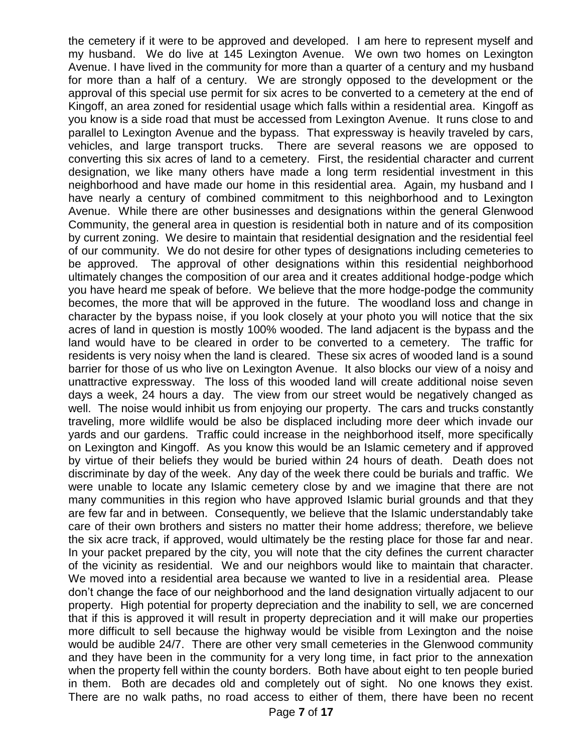the cemetery if it were to be approved and developed. I am here to represent myself and my husband. We do live at 145 Lexington Avenue. We own two homes on Lexington Avenue. I have lived in the community for more than a quarter of a century and my husband for more than a half of a century. We are strongly opposed to the development or the approval of this special use permit for six acres to be converted to a cemetery at the end of Kingoff, an area zoned for residential usage which falls within a residential area. Kingoff as you know is a side road that must be accessed from Lexington Avenue. It runs close to and parallel to Lexington Avenue and the bypass. That expressway is heavily traveled by cars, vehicles, and large transport trucks. There are several reasons we are opposed to converting this six acres of land to a cemetery. First, the residential character and current designation, we like many others have made a long term residential investment in this neighborhood and have made our home in this residential area. Again, my husband and I have nearly a century of combined commitment to this neighborhood and to Lexington Avenue. While there are other businesses and designations within the general Glenwood Community, the general area in question is residential both in nature and of its composition by current zoning. We desire to maintain that residential designation and the residential feel of our community. We do not desire for other types of designations including cemeteries to be approved. The approval of other designations within this residential neighborhood ultimately changes the composition of our area and it creates additional hodge-podge which you have heard me speak of before. We believe that the more hodge-podge the community becomes, the more that will be approved in the future. The woodland loss and change in character by the bypass noise, if you look closely at your photo you will notice that the six acres of land in question is mostly 100% wooded. The land adjacent is the bypass and the land would have to be cleared in order to be converted to a cemetery. The traffic for residents is very noisy when the land is cleared. These six acres of wooded land is a sound barrier for those of us who live on Lexington Avenue. It also blocks our view of a noisy and unattractive expressway. The loss of this wooded land will create additional noise seven days a week, 24 hours a day. The view from our street would be negatively changed as well. The noise would inhibit us from enjoying our property. The cars and trucks constantly traveling, more wildlife would be also be displaced including more deer which invade our yards and our gardens. Traffic could increase in the neighborhood itself, more specifically on Lexington and Kingoff. As you know this would be an Islamic cemetery and if approved by virtue of their beliefs they would be buried within 24 hours of death. Death does not discriminate by day of the week. Any day of the week there could be burials and traffic. We were unable to locate any Islamic cemetery close by and we imagine that there are not many communities in this region who have approved Islamic burial grounds and that they are few far and in between. Consequently, we believe that the Islamic understandably take care of their own brothers and sisters no matter their home address; therefore, we believe the six acre track, if approved, would ultimately be the resting place for those far and near. In your packet prepared by the city, you will note that the city defines the current character of the vicinity as residential. We and our neighbors would like to maintain that character. We moved into a residential area because we wanted to live in a residential area. Please don't change the face of our neighborhood and the land designation virtually adjacent to our property. High potential for property depreciation and the inability to sell, we are concerned that if this is approved it will result in property depreciation and it will make our properties more difficult to sell because the highway would be visible from Lexington and the noise would be audible 24/7. There are other very small cemeteries in the Glenwood community and they have been in the community for a very long time, in fact prior to the annexation when the property fell within the county borders. Both have about eight to ten people buried in them. Both are decades old and completely out of sight. No one knows they exist. There are no walk paths, no road access to either of them, there have been no recent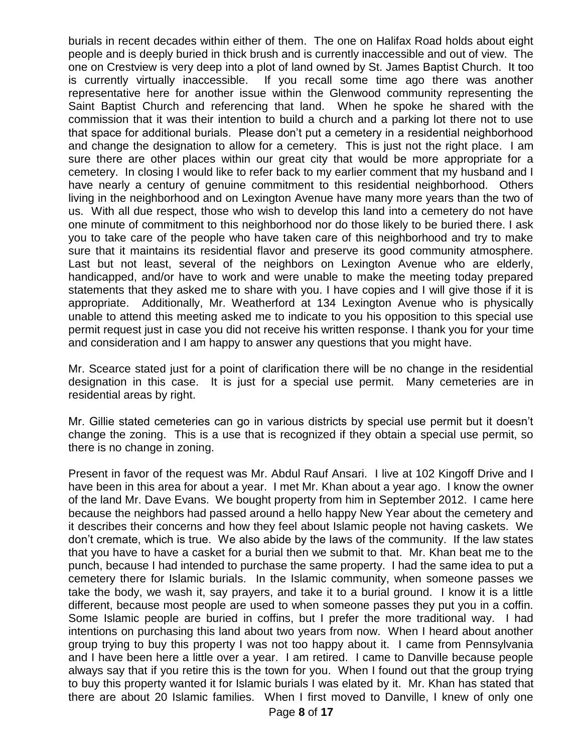burials in recent decades within either of them. The one on Halifax Road holds about eight people and is deeply buried in thick brush and is currently inaccessible and out of view. The one on Crestview is very deep into a plot of land owned by St. James Baptist Church. It too is currently virtually inaccessible. If you recall some time ago there was another representative here for another issue within the Glenwood community representing the Saint Baptist Church and referencing that land. When he spoke he shared with the commission that it was their intention to build a church and a parking lot there not to use that space for additional burials. Please don't put a cemetery in a residential neighborhood and change the designation to allow for a cemetery. This is just not the right place. I am sure there are other places within our great city that would be more appropriate for a cemetery. In closing I would like to refer back to my earlier comment that my husband and I have nearly a century of genuine commitment to this residential neighborhood. Others living in the neighborhood and on Lexington Avenue have many more years than the two of us. With all due respect, those who wish to develop this land into a cemetery do not have one minute of commitment to this neighborhood nor do those likely to be buried there. I ask you to take care of the people who have taken care of this neighborhood and try to make sure that it maintains its residential flavor and preserve its good community atmosphere. Last but not least, several of the neighbors on Lexington Avenue who are elderly, handicapped, and/or have to work and were unable to make the meeting today prepared statements that they asked me to share with you. I have copies and I will give those if it is appropriate. Additionally, Mr. Weatherford at 134 Lexington Avenue who is physically unable to attend this meeting asked me to indicate to you his opposition to this special use permit request just in case you did not receive his written response. I thank you for your time and consideration and I am happy to answer any questions that you might have.

Mr. Scearce stated just for a point of clarification there will be no change in the residential designation in this case. It is just for a special use permit. Many cemeteries are in residential areas by right.

Mr. Gillie stated cemeteries can go in various districts by special use permit but it doesn't change the zoning. This is a use that is recognized if they obtain a special use permit, so there is no change in zoning.

Present in favor of the request was Mr. Abdul Rauf Ansari. I live at 102 Kingoff Drive and I have been in this area for about a year. I met Mr. Khan about a year ago. I know the owner of the land Mr. Dave Evans. We bought property from him in September 2012. I came here because the neighbors had passed around a hello happy New Year about the cemetery and it describes their concerns and how they feel about Islamic people not having caskets. We don't cremate, which is true. We also abide by the laws of the community. If the law states that you have to have a casket for a burial then we submit to that. Mr. Khan beat me to the punch, because I had intended to purchase the same property. I had the same idea to put a cemetery there for Islamic burials. In the Islamic community, when someone passes we take the body, we wash it, say prayers, and take it to a burial ground. I know it is a little different, because most people are used to when someone passes they put you in a coffin. Some Islamic people are buried in coffins, but I prefer the more traditional way. I had intentions on purchasing this land about two years from now. When I heard about another group trying to buy this property I was not too happy about it. I came from Pennsylvania and I have been here a little over a year. I am retired. I came to Danville because people always say that if you retire this is the town for you. When I found out that the group trying to buy this property wanted it for Islamic burials I was elated by it. Mr. Khan has stated that there are about 20 Islamic families. When I first moved to Danville, I knew of only one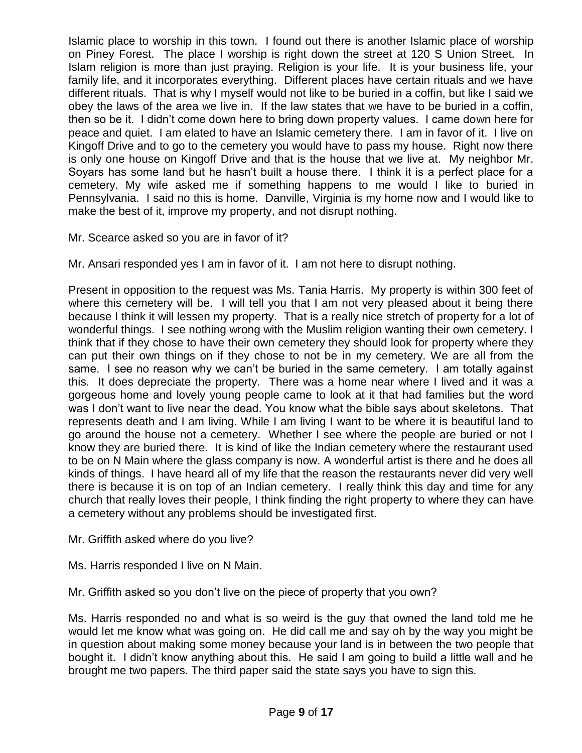Islamic place to worship in this town. I found out there is another Islamic place of worship on Piney Forest. The place I worship is right down the street at 120 S Union Street. In Islam religion is more than just praying. Religion is your life. It is your business life, your family life, and it incorporates everything. Different places have certain rituals and we have different rituals. That is why I myself would not like to be buried in a coffin, but like I said we obey the laws of the area we live in. If the law states that we have to be buried in a coffin, then so be it. I didn't come down here to bring down property values. I came down here for peace and quiet. I am elated to have an Islamic cemetery there. I am in favor of it. I live on Kingoff Drive and to go to the cemetery you would have to pass my house. Right now there is only one house on Kingoff Drive and that is the house that we live at. My neighbor Mr. Soyars has some land but he hasn't built a house there. I think it is a perfect place for a cemetery. My wife asked me if something happens to me would I like to buried in Pennsylvania. I said no this is home. Danville, Virginia is my home now and I would like to make the best of it, improve my property, and not disrupt nothing.

Mr. Scearce asked so you are in favor of it?

Mr. Ansari responded yes I am in favor of it. I am not here to disrupt nothing.

Present in opposition to the request was Ms. Tania Harris. My property is within 300 feet of where this cemetery will be. I will tell you that I am not very pleased about it being there because I think it will lessen my property. That is a really nice stretch of property for a lot of wonderful things. I see nothing wrong with the Muslim religion wanting their own cemetery. I think that if they chose to have their own cemetery they should look for property where they can put their own things on if they chose to not be in my cemetery. We are all from the same. I see no reason why we can't be buried in the same cemetery. I am totally against this. It does depreciate the property. There was a home near where I lived and it was a gorgeous home and lovely young people came to look at it that had families but the word was I don't want to live near the dead. You know what the bible says about skeletons. That represents death and I am living. While I am living I want to be where it is beautiful land to go around the house not a cemetery. Whether I see where the people are buried or not I know they are buried there. It is kind of like the Indian cemetery where the restaurant used to be on N Main where the glass company is now. A wonderful artist is there and he does all kinds of things. I have heard all of my life that the reason the restaurants never did very well there is because it is on top of an Indian cemetery. I really think this day and time for any church that really loves their people, I think finding the right property to where they can have a cemetery without any problems should be investigated first.

Mr. Griffith asked where do you live?

Ms. Harris responded I live on N Main.

Mr. Griffith asked so you don't live on the piece of property that you own?

Ms. Harris responded no and what is so weird is the guy that owned the land told me he would let me know what was going on. He did call me and say oh by the way you might be in question about making some money because your land is in between the two people that bought it. I didn't know anything about this. He said I am going to build a little wall and he brought me two papers. The third paper said the state says you have to sign this.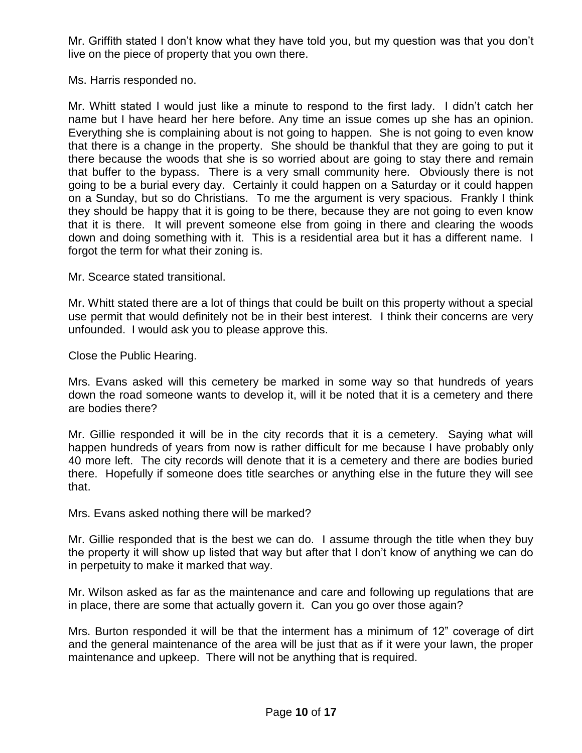Mr. Griffith stated I don't know what they have told you, but my question was that you don't live on the piece of property that you own there.

Ms. Harris responded no.

Mr. Whitt stated I would just like a minute to respond to the first lady. I didn't catch her name but I have heard her here before. Any time an issue comes up she has an opinion. Everything she is complaining about is not going to happen. She is not going to even know that there is a change in the property. She should be thankful that they are going to put it there because the woods that she is so worried about are going to stay there and remain that buffer to the bypass. There is a very small community here. Obviously there is not going to be a burial every day. Certainly it could happen on a Saturday or it could happen on a Sunday, but so do Christians. To me the argument is very spacious. Frankly I think they should be happy that it is going to be there, because they are not going to even know that it is there. It will prevent someone else from going in there and clearing the woods down and doing something with it. This is a residential area but it has a different name. I forgot the term for what their zoning is.

Mr. Scearce stated transitional.

Mr. Whitt stated there are a lot of things that could be built on this property without a special use permit that would definitely not be in their best interest. I think their concerns are very unfounded. I would ask you to please approve this.

Close the Public Hearing.

Mrs. Evans asked will this cemetery be marked in some way so that hundreds of years down the road someone wants to develop it, will it be noted that it is a cemetery and there are bodies there?

Mr. Gillie responded it will be in the city records that it is a cemetery. Saying what will happen hundreds of years from now is rather difficult for me because I have probably only 40 more left. The city records will denote that it is a cemetery and there are bodies buried there. Hopefully if someone does title searches or anything else in the future they will see that.

Mrs. Evans asked nothing there will be marked?

Mr. Gillie responded that is the best we can do. I assume through the title when they buy the property it will show up listed that way but after that I don't know of anything we can do in perpetuity to make it marked that way.

Mr. Wilson asked as far as the maintenance and care and following up regulations that are in place, there are some that actually govern it. Can you go over those again?

Mrs. Burton responded it will be that the interment has a minimum of 12" coverage of dirt and the general maintenance of the area will be just that as if it were your lawn, the proper maintenance and upkeep. There will not be anything that is required.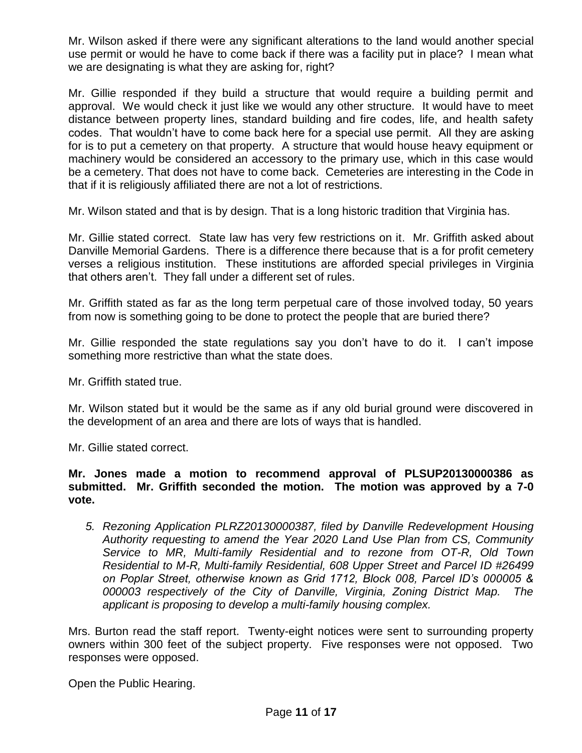Mr. Wilson asked if there were any significant alterations to the land would another special use permit or would he have to come back if there was a facility put in place? I mean what we are designating is what they are asking for, right?

Mr. Gillie responded if they build a structure that would require a building permit and approval. We would check it just like we would any other structure. It would have to meet distance between property lines, standard building and fire codes, life, and health safety codes. That wouldn't have to come back here for a special use permit. All they are asking for is to put a cemetery on that property. A structure that would house heavy equipment or machinery would be considered an accessory to the primary use, which in this case would be a cemetery. That does not have to come back. Cemeteries are interesting in the Code in that if it is religiously affiliated there are not a lot of restrictions.

Mr. Wilson stated and that is by design. That is a long historic tradition that Virginia has.

Mr. Gillie stated correct. State law has very few restrictions on it. Mr. Griffith asked about Danville Memorial Gardens. There is a difference there because that is a for profit cemetery verses a religious institution. These institutions are afforded special privileges in Virginia that others aren't. They fall under a different set of rules.

Mr. Griffith stated as far as the long term perpetual care of those involved today, 50 years from now is something going to be done to protect the people that are buried there?

Mr. Gillie responded the state regulations say you don't have to do it. I can't impose something more restrictive than what the state does.

Mr. Griffith stated true.

Mr. Wilson stated but it would be the same as if any old burial ground were discovered in the development of an area and there are lots of ways that is handled.

Mr. Gillie stated correct.

**Mr. Jones made a motion to recommend approval of PLSUP20130000386 as submitted. Mr. Griffith seconded the motion. The motion was approved by a 7-0 vote.** 

*5. Rezoning Application PLRZ20130000387, filed by Danville Redevelopment Housing Authority requesting to amend the Year 2020 Land Use Plan from CS, Community Service to MR, Multi-family Residential and to rezone from OT-R, Old Town Residential to M-R, Multi-family Residential, 608 Upper Street and Parcel ID #26499 on Poplar Street, otherwise known as Grid 1712, Block 008, Parcel ID's 000005 & 000003 respectively of the City of Danville, Virginia, Zoning District Map. The applicant is proposing to develop a multi-family housing complex.*

Mrs. Burton read the staff report. Twenty-eight notices were sent to surrounding property owners within 300 feet of the subject property. Five responses were not opposed. Two responses were opposed.

Open the Public Hearing.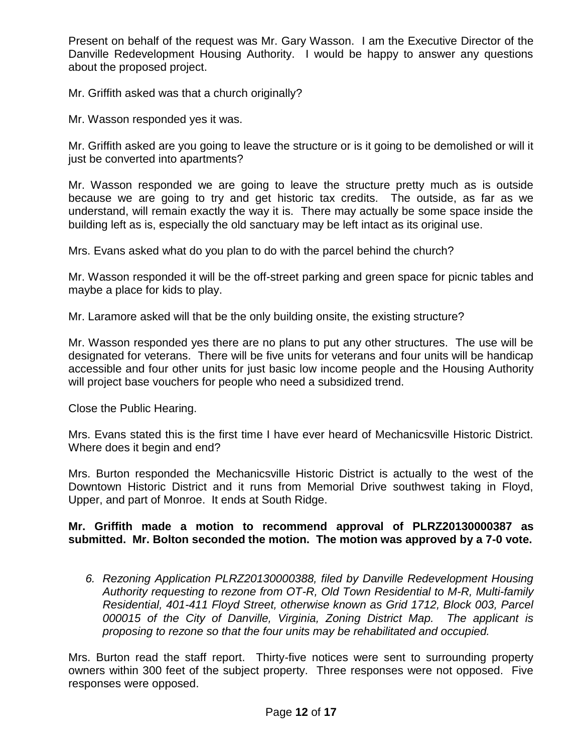Present on behalf of the request was Mr. Gary Wasson. I am the Executive Director of the Danville Redevelopment Housing Authority. I would be happy to answer any questions about the proposed project.

Mr. Griffith asked was that a church originally?

Mr. Wasson responded yes it was.

Mr. Griffith asked are you going to leave the structure or is it going to be demolished or will it just be converted into apartments?

Mr. Wasson responded we are going to leave the structure pretty much as is outside because we are going to try and get historic tax credits. The outside, as far as we understand, will remain exactly the way it is. There may actually be some space inside the building left as is, especially the old sanctuary may be left intact as its original use.

Mrs. Evans asked what do you plan to do with the parcel behind the church?

Mr. Wasson responded it will be the off-street parking and green space for picnic tables and maybe a place for kids to play.

Mr. Laramore asked will that be the only building onsite, the existing structure?

Mr. Wasson responded yes there are no plans to put any other structures. The use will be designated for veterans. There will be five units for veterans and four units will be handicap accessible and four other units for just basic low income people and the Housing Authority will project base vouchers for people who need a subsidized trend.

Close the Public Hearing.

Mrs. Evans stated this is the first time I have ever heard of Mechanicsville Historic District. Where does it begin and end?

Mrs. Burton responded the Mechanicsville Historic District is actually to the west of the Downtown Historic District and it runs from Memorial Drive southwest taking in Floyd, Upper, and part of Monroe. It ends at South Ridge.

# **Mr. Griffith made a motion to recommend approval of PLRZ20130000387 as submitted. Mr. Bolton seconded the motion. The motion was approved by a 7-0 vote.**

*6. Rezoning Application PLRZ20130000388, filed by Danville Redevelopment Housing Authority requesting to rezone from OT-R, Old Town Residential to M-R, Multi-family Residential, 401-411 Floyd Street, otherwise known as Grid 1712, Block 003, Parcel 000015 of the City of Danville, Virginia, Zoning District Map. The applicant is proposing to rezone so that the four units may be rehabilitated and occupied.*

Mrs. Burton read the staff report. Thirty-five notices were sent to surrounding property owners within 300 feet of the subject property. Three responses were not opposed. Five responses were opposed.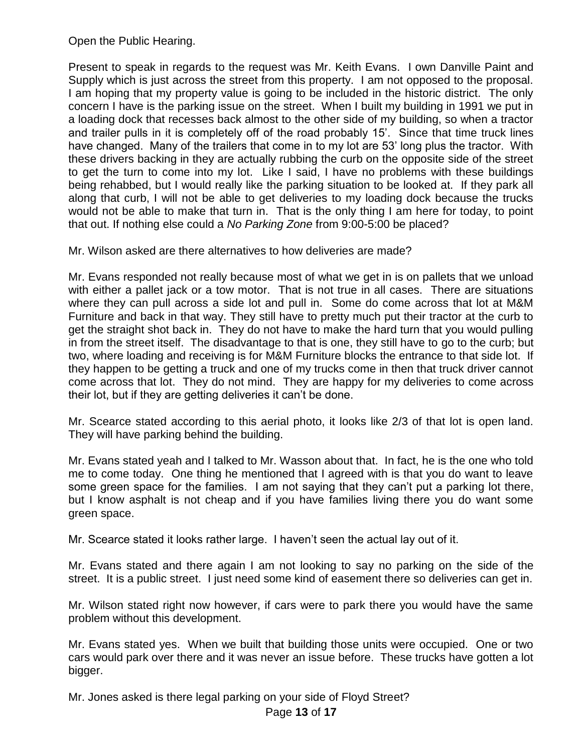Open the Public Hearing.

Present to speak in regards to the request was Mr. Keith Evans. I own Danville Paint and Supply which is just across the street from this property. I am not opposed to the proposal. I am hoping that my property value is going to be included in the historic district. The only concern I have is the parking issue on the street. When I built my building in 1991 we put in a loading dock that recesses back almost to the other side of my building, so when a tractor and trailer pulls in it is completely off of the road probably 15'. Since that time truck lines have changed. Many of the trailers that come in to my lot are 53' long plus the tractor. With these drivers backing in they are actually rubbing the curb on the opposite side of the street to get the turn to come into my lot. Like I said, I have no problems with these buildings being rehabbed, but I would really like the parking situation to be looked at. If they park all along that curb, I will not be able to get deliveries to my loading dock because the trucks would not be able to make that turn in. That is the only thing I am here for today, to point that out. If nothing else could a *No Parking Zone* from 9:00-5:00 be placed?

Mr. Wilson asked are there alternatives to how deliveries are made?

Mr. Evans responded not really because most of what we get in is on pallets that we unload with either a pallet jack or a tow motor. That is not true in all cases. There are situations where they can pull across a side lot and pull in. Some do come across that lot at M&M Furniture and back in that way. They still have to pretty much put their tractor at the curb to get the straight shot back in. They do not have to make the hard turn that you would pulling in from the street itself. The disadvantage to that is one, they still have to go to the curb; but two, where loading and receiving is for M&M Furniture blocks the entrance to that side lot. If they happen to be getting a truck and one of my trucks come in then that truck driver cannot come across that lot. They do not mind. They are happy for my deliveries to come across their lot, but if they are getting deliveries it can't be done.

Mr. Scearce stated according to this aerial photo, it looks like 2/3 of that lot is open land. They will have parking behind the building.

Mr. Evans stated yeah and I talked to Mr. Wasson about that. In fact, he is the one who told me to come today. One thing he mentioned that I agreed with is that you do want to leave some green space for the families. I am not saying that they can't put a parking lot there, but I know asphalt is not cheap and if you have families living there you do want some green space.

Mr. Scearce stated it looks rather large. I haven't seen the actual lay out of it.

Mr. Evans stated and there again I am not looking to say no parking on the side of the street. It is a public street. I just need some kind of easement there so deliveries can get in.

Mr. Wilson stated right now however, if cars were to park there you would have the same problem without this development.

Mr. Evans stated yes. When we built that building those units were occupied. One or two cars would park over there and it was never an issue before. These trucks have gotten a lot bigger.

Mr. Jones asked is there legal parking on your side of Floyd Street?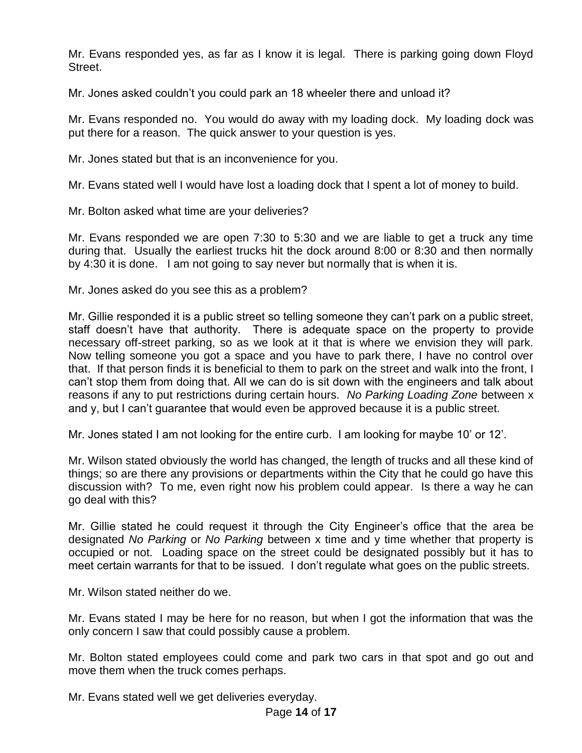Mr. Evans responded yes, as far as I know it is legal. There is parking going down Floyd Street.

Mr. Jones asked couldn't you could park an 18 wheeler there and unload it?

Mr. Evans responded no. You would do away with my loading dock. My loading dock was put there for a reason. The quick answer to your question is yes.

Mr. Jones stated but that is an inconvenience for you.

Mr. Evans stated well I would have lost a loading dock that I spent a lot of money to build.

Mr. Bolton asked what time are your deliveries?

Mr. Evans responded we are open 7:30 to 5:30 and we are liable to get a truck any time during that. Usually the earliest trucks hit the dock around 8:00 or 8:30 and then normally by 4:30 it is done. I am not going to say never but normally that is when it is.

Mr. Jones asked do you see this as a problem?

Mr. Gillie responded it is a public street so telling someone they can't park on a public street, staff doesn't have that authority. There is adequate space on the property to provide necessary off-street parking, so as we look at it that is where we envision they will park. Now telling someone you got a space and you have to park there, I have no control over that. If that person finds it is beneficial to them to park on the street and walk into the front, I can't stop them from doing that. All we can do is sit down with the engineers and talk about reasons if any to put restrictions during certain hours. *No Parking Loading Zone* between x and y, but I can't guarantee that would even be approved because it is a public street.

Mr. Jones stated I am not looking for the entire curb. I am looking for maybe 10' or 12'.

Mr. Wilson stated obviously the world has changed, the length of trucks and all these kind of things; so are there any provisions or departments within the City that he could go have this discussion with? To me, even right now his problem could appear. Is there a way he can go deal with this?

Mr. Gillie stated he could request it through the City Engineer's office that the area be designated *No Parking* or *No Parking* between x time and y time whether that property is occupied or not. Loading space on the street could be designated possibly but it has to meet certain warrants for that to be issued. I don't regulate what goes on the public streets.

Mr. Wilson stated neither do we.

Mr. Evans stated I may be here for no reason, but when I got the information that was the only concern I saw that could possibly cause a problem.

Mr. Bolton stated employees could come and park two cars in that spot and go out and move them when the truck comes perhaps.

Mr. Evans stated well we get deliveries everyday.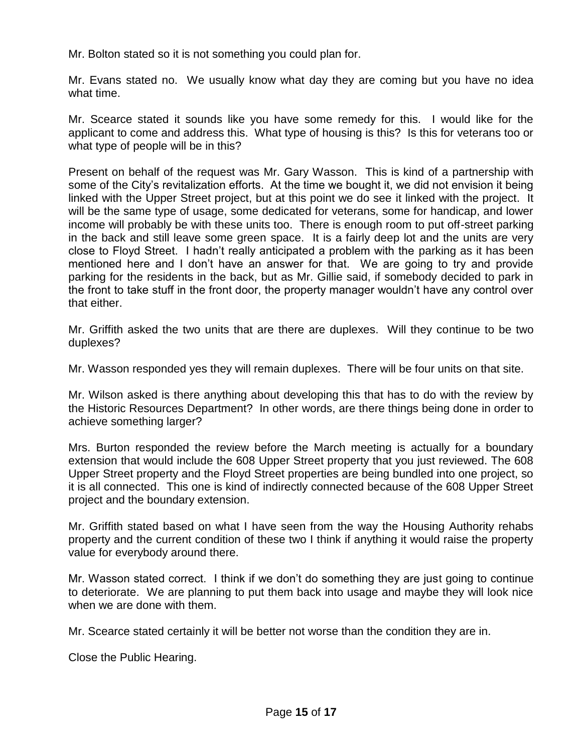Mr. Bolton stated so it is not something you could plan for.

Mr. Evans stated no. We usually know what day they are coming but you have no idea what time.

Mr. Scearce stated it sounds like you have some remedy for this. I would like for the applicant to come and address this. What type of housing is this? Is this for veterans too or what type of people will be in this?

Present on behalf of the request was Mr. Gary Wasson. This is kind of a partnership with some of the City's revitalization efforts. At the time we bought it, we did not envision it being linked with the Upper Street project, but at this point we do see it linked with the project. It will be the same type of usage, some dedicated for veterans, some for handicap, and lower income will probably be with these units too. There is enough room to put off-street parking in the back and still leave some green space. It is a fairly deep lot and the units are very close to Floyd Street. I hadn't really anticipated a problem with the parking as it has been mentioned here and I don't have an answer for that. We are going to try and provide parking for the residents in the back, but as Mr. Gillie said, if somebody decided to park in the front to take stuff in the front door, the property manager wouldn't have any control over that either.

Mr. Griffith asked the two units that are there are duplexes. Will they continue to be two duplexes?

Mr. Wasson responded yes they will remain duplexes. There will be four units on that site.

Mr. Wilson asked is there anything about developing this that has to do with the review by the Historic Resources Department? In other words, are there things being done in order to achieve something larger?

Mrs. Burton responded the review before the March meeting is actually for a boundary extension that would include the 608 Upper Street property that you just reviewed. The 608 Upper Street property and the Floyd Street properties are being bundled into one project, so it is all connected. This one is kind of indirectly connected because of the 608 Upper Street project and the boundary extension.

Mr. Griffith stated based on what I have seen from the way the Housing Authority rehabs property and the current condition of these two I think if anything it would raise the property value for everybody around there.

Mr. Wasson stated correct. I think if we don't do something they are just going to continue to deteriorate. We are planning to put them back into usage and maybe they will look nice when we are done with them.

Mr. Scearce stated certainly it will be better not worse than the condition they are in.

Close the Public Hearing.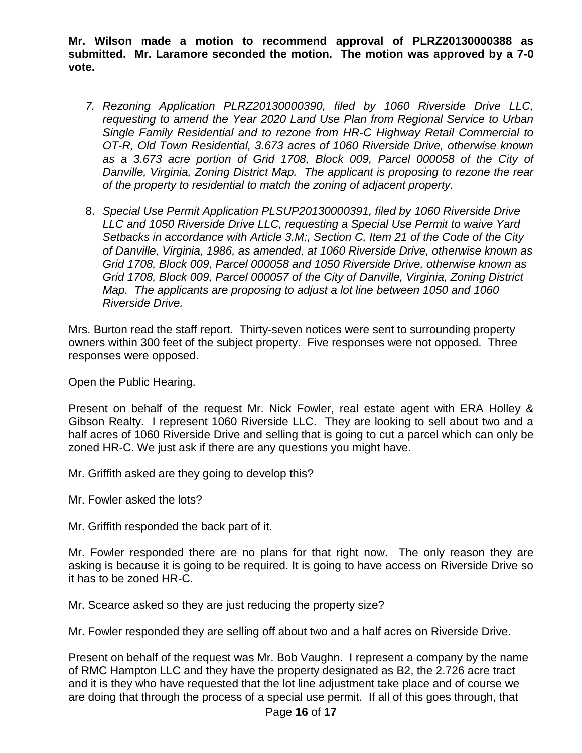**Mr. Wilson made a motion to recommend approval of PLRZ20130000388 as submitted. Mr. Laramore seconded the motion. The motion was approved by a 7-0 vote.** 

- *7. Rezoning Application PLRZ20130000390, filed by 1060 Riverside Drive LLC, requesting to amend the Year 2020 Land Use Plan from Regional Service to Urban Single Family Residential and to rezone from HR-C Highway Retail Commercial to OT-R, Old Town Residential, 3.673 acres of 1060 Riverside Drive, otherwise known as a 3.673 acre portion of Grid 1708, Block 009, Parcel 000058 of the City of Danville, Virginia, Zoning District Map. The applicant is proposing to rezone the rear of the property to residential to match the zoning of adjacent property.*
- 8. *Special Use Permit Application PLSUP20130000391, filed by 1060 Riverside Drive LLC and 1050 Riverside Drive LLC, requesting a Special Use Permit to waive Yard Setbacks in accordance with Article 3.M:, Section C, Item 21 of the Code of the City of Danville, Virginia, 1986, as amended, at 1060 Riverside Drive, otherwise known as Grid 1708, Block 009, Parcel 000058 and 1050 Riverside Drive, otherwise known as Grid 1708, Block 009, Parcel 000057 of the City of Danville, Virginia, Zoning District Map. The applicants are proposing to adjust a lot line between 1050 and 1060 Riverside Drive.*

Mrs. Burton read the staff report. Thirty-seven notices were sent to surrounding property owners within 300 feet of the subject property. Five responses were not opposed. Three responses were opposed.

Open the Public Hearing.

Present on behalf of the request Mr. Nick Fowler, real estate agent with ERA Holley & Gibson Realty. I represent 1060 Riverside LLC. They are looking to sell about two and a half acres of 1060 Riverside Drive and selling that is going to cut a parcel which can only be zoned HR-C. We just ask if there are any questions you might have.

Mr. Griffith asked are they going to develop this?

Mr. Fowler asked the lots?

Mr. Griffith responded the back part of it.

Mr. Fowler responded there are no plans for that right now. The only reason they are asking is because it is going to be required. It is going to have access on Riverside Drive so it has to be zoned HR-C.

Mr. Scearce asked so they are just reducing the property size?

Mr. Fowler responded they are selling off about two and a half acres on Riverside Drive.

Present on behalf of the request was Mr. Bob Vaughn. I represent a company by the name of RMC Hampton LLC and they have the property designated as B2, the 2.726 acre tract and it is they who have requested that the lot line adjustment take place and of course we are doing that through the process of a special use permit. If all of this goes through, that